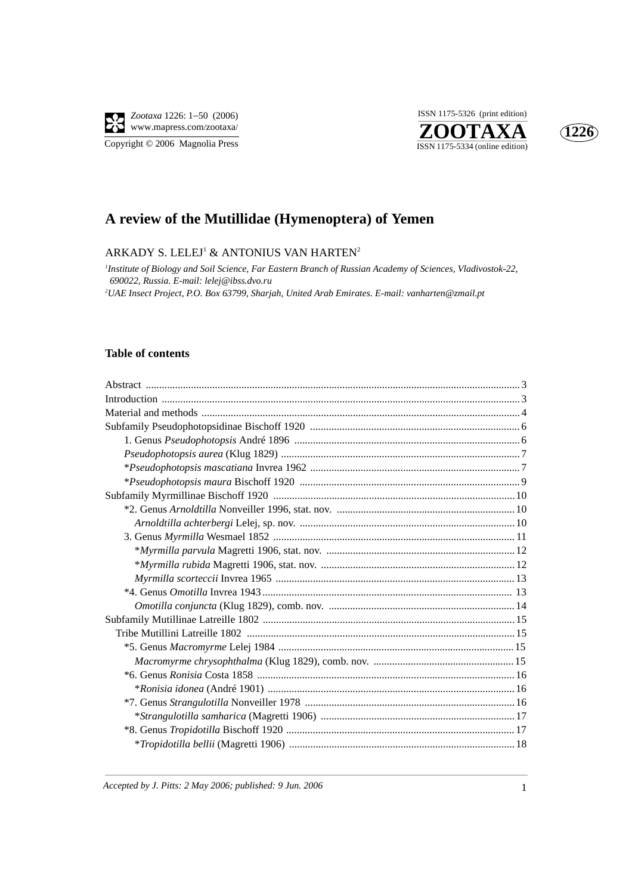

Copyright © 2006 Magnolia Press





# **A review of the Mutillidae (Hymenoptera) of Yemen**

### ARKADY S. LELEJ $^1$  & ANTONIUS VAN HARTEN $^2$

*1 Institute of Biology and Soil Science, Far Eastern Branch of Russian Academy of Sciences, Vladivostok-22, 690022, Russia. E-mail: lelej@ibss.dvo.ru 2 UAE Insect Project, P.O. Box 63799, Sharjah, United Arab Emirates. E-mail: vanharten@zmail.pt*

### **Table of contents**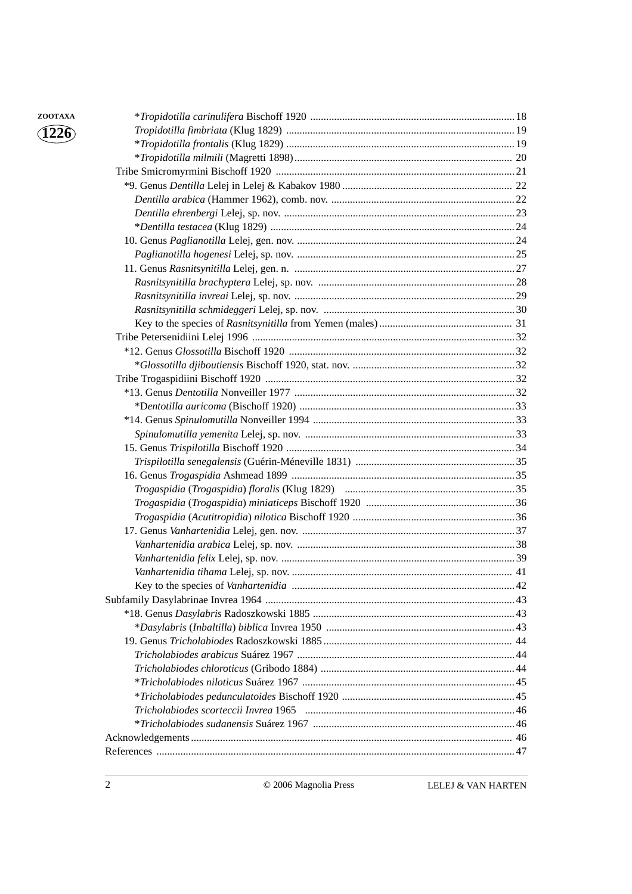| ZOOTAXA                           |                                     |  |
|-----------------------------------|-------------------------------------|--|
| $\langle 122\overline{6} \rangle$ |                                     |  |
|                                   |                                     |  |
|                                   |                                     |  |
|                                   |                                     |  |
|                                   |                                     |  |
|                                   |                                     |  |
|                                   |                                     |  |
|                                   |                                     |  |
|                                   |                                     |  |
|                                   |                                     |  |
|                                   |                                     |  |
|                                   |                                     |  |
|                                   |                                     |  |
|                                   |                                     |  |
|                                   |                                     |  |
|                                   |                                     |  |
|                                   |                                     |  |
|                                   |                                     |  |
|                                   |                                     |  |
|                                   |                                     |  |
|                                   |                                     |  |
|                                   |                                     |  |
|                                   |                                     |  |
|                                   |                                     |  |
|                                   |                                     |  |
|                                   |                                     |  |
|                                   |                                     |  |
|                                   |                                     |  |
|                                   |                                     |  |
|                                   |                                     |  |
|                                   |                                     |  |
|                                   |                                     |  |
|                                   |                                     |  |
|                                   | Key to the species of Vanhartenidia |  |
|                                   |                                     |  |
|                                   |                                     |  |
|                                   |                                     |  |
|                                   |                                     |  |
|                                   |                                     |  |
|                                   |                                     |  |
|                                   |                                     |  |
|                                   |                                     |  |
|                                   |                                     |  |
|                                   |                                     |  |
|                                   |                                     |  |
|                                   |                                     |  |

2 © 2006 Magnolia Press LELEJ & VAN HARTEN

**1226**